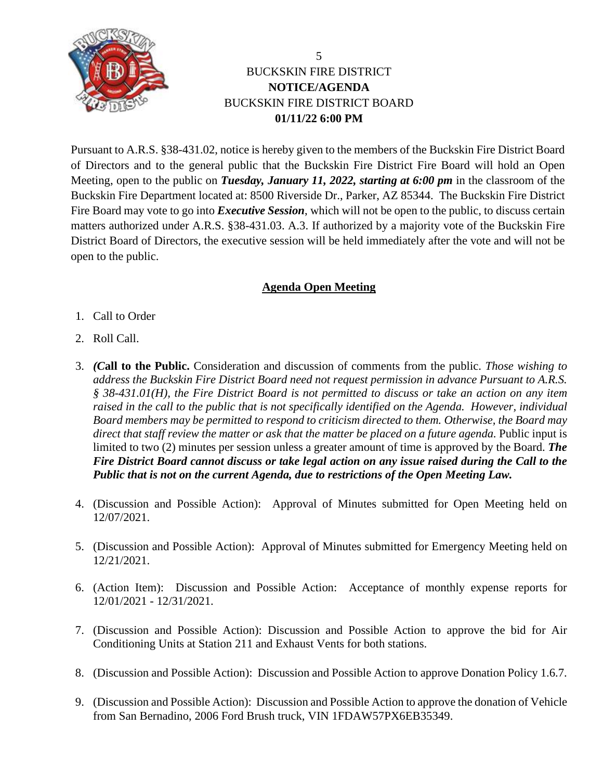

## BUCKSKIN FIRE DISTRICT **NOTICE/AGENDA** BUCKSKIN FIRE DISTRICT BOARD **01/11/22 6:00 PM**

Pursuant to A.R.S. §38-431.02, notice is hereby given to the members of the Buckskin Fire District Board of Directors and to the general public that the Buckskin Fire District Fire Board will hold an Open Meeting, open to the public on *Tuesday, January 11, 2022, starting at 6:00 pm* in the classroom of the Buckskin Fire Department located at: 8500 Riverside Dr., Parker, AZ 85344. The Buckskin Fire District Fire Board may vote to go into *Executive Session*, which will not be open to the public, to discuss certain matters authorized under A.R.S. §38-431.03. A.3. If authorized by a majority vote of the Buckskin Fire District Board of Directors, the executive session will be held immediately after the vote and will not be open to the public.

## **Agenda Open Meeting**

- 1. Call to Order
- 2. Roll Call.
- 3. *(C***all to the Public.** Consideration and discussion of comments from the public. *Those wishing to address the Buckskin Fire District Board need not request permission in advance Pursuant to A.R.S. § 38-431.01(H), the Fire District Board is not permitted to discuss or take an action on any item raised in the call to the public that is not specifically identified on the Agenda. However, individual Board members may be permitted to respond to criticism directed to them. Otherwise, the Board may*  direct that staff review the matter or ask that the matter be placed on a future agenda. Public input is limited to two (2) minutes per session unless a greater amount of time is approved by the Board. *The Fire District Board cannot discuss or take legal action on any issue raised during the Call to the Public that is not on the current Agenda, due to restrictions of the Open Meeting Law.*
- 4. (Discussion and Possible Action): Approval of Minutes submitted for Open Meeting held on 12/07/2021.
- 5. (Discussion and Possible Action): Approval of Minutes submitted for Emergency Meeting held on 12/21/2021.
- 6. (Action Item): Discussion and Possible Action: Acceptance of monthly expense reports for 12/01/2021 - 12/31/2021.
- 7. (Discussion and Possible Action): Discussion and Possible Action to approve the bid for Air Conditioning Units at Station 211 and Exhaust Vents for both stations.
- 8. (Discussion and Possible Action): Discussion and Possible Action to approve Donation Policy 1.6.7.
- 9. (Discussion and Possible Action): Discussion and Possible Action to approve the donation of Vehicle from San Bernadino, 2006 Ford Brush truck, VIN 1FDAW57PX6EB35349.

5